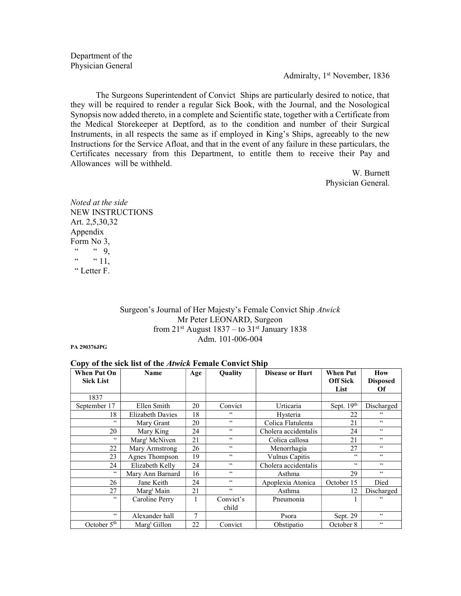Department of the Physician General

Admiralty, 1st November, 1836

The Surgeons Superintendent of Convict Ships are particularly desired to notice, that they will be required to render a regular Sick Book, with the Journal, and the Nosological Synopsis now added thereto, in a complete and Scientific state, together with a Certificate from the Medical Storekeeper at Deptford, as to the condition and number of their Surgical Instruments, in all respects the same as if employed in King's Ships, agreeably to the new Instructions for the Service Afloat, and that in the event of any failure in these particulars, the Certificates necessary from this Department, to entitle them to receive their Pay and Allowances will be withheld.

> W. Burnett Physician General.

Noted at the side NEW INSTRUCTIONS Art. 2,5,30,32 Appendix Form No 3,  $\begin{array}{ccc} \cdots & \cdots & 9, \\ \cdots & \cdots & 11 \end{array}$  $\lq 11$ , " Letter F.

## Surgeon's Journal of Her Majesty's Female Convict Ship Atwick Mr Peter LEONARD, Surgeon from  $21^{st}$  August  $1837 -$  to  $31^{st}$  January 1838 Adm. 101-006-004

PA 290376JPG

#### Copy of the sick list of the Atwick Female Convict Ship

| <b>When Put On</b><br><b>Sick List</b> | <b>Name</b>               | Age | Quality                  | <b>Disease or Hurt</b> | <b>When Put</b><br><b>Off Sick</b><br>List | How<br><b>Disposed</b><br>Of |
|----------------------------------------|---------------------------|-----|--------------------------|------------------------|--------------------------------------------|------------------------------|
| 1837                                   |                           |     |                          |                        |                                            |                              |
| September 17                           | Ellen Smith               | 20  | Convict                  | Urticaria              | Sept. $19th$                               | Discharged                   |
| 18                                     | Elizabeth Davies          | 18  | 66                       | Hysteria               | 22                                         | 66                           |
| 66                                     | Mary Grant                | 20  | $\zeta\,\zeta$           | Colica Flatulenta      | 21                                         | $\zeta\,\zeta$               |
| 20                                     | Mary King                 | 24  | $\zeta\,\zeta$           | Cholera accidentalis   | 24                                         | $\zeta\,\zeta$               |
| 66                                     | Marg <sup>t</sup> McNiven | 21  | $\zeta\,\zeta$           | Colica callosa         | 21                                         | $\zeta\,\zeta$               |
| 22                                     | Mary Armstrong            | 26  | $\zeta\,\zeta$           | Menorrhagia            | 27                                         | $\zeta\,\zeta$               |
| 23                                     | Agnes Thompson            | 19  | $\mathsf{c}\,\mathsf{c}$ | Vulnus Capitis         | 66                                         | $\zeta\,\zeta$               |
| 24                                     | Elizabeth Kelly           | 24  | $\zeta\,\zeta$           | Cholera accidentalis   | 66                                         | $\zeta\,\zeta$               |
| 66                                     | Mary Ann Barnard          | 16  | $\zeta\,\zeta$           | Asthma                 | 29                                         | $\zeta\,\zeta$               |
| 26                                     | Jane Keith                | 24  | $\mathsf{c}\,\mathsf{c}$ | Apoplexia Atonica      | October 15                                 | Died                         |
| 27                                     | Marg <sup>t</sup> Main    | 21  | $\mathsf{c}\,\mathsf{c}$ | Asthma                 | 12                                         | Discharged                   |
| $\zeta \zeta$                          | Caroline Perry            | 1   | Convict's                | Pneumonia              |                                            | 66                           |
|                                        |                           |     | child                    |                        |                                            |                              |
| 66                                     | Alexander hall            | 7   |                          | Psora                  | Sept. 29                                   | $\zeta\,\zeta$               |
| October 5 <sup>th</sup>                | Marg <sup>t</sup> Gillon  | 22  | Convict                  | Obstipatio             | October 8                                  | $\zeta\,\zeta$               |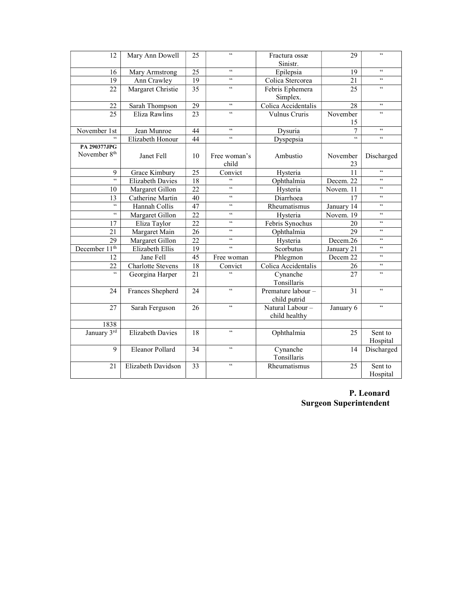| 12                       | Mary Ann Dowell         | 25 | $\zeta\,\zeta$<br>Fractura ossæ |                     | 29             | $\zeta\,\zeta$       |
|--------------------------|-------------------------|----|---------------------------------|---------------------|----------------|----------------------|
|                          |                         |    |                                 | Sinistr.            |                |                      |
| 16                       | Mary Armstrong          | 25 | $\zeta\,\zeta$                  | Epilepsia           | 19             | $\zeta\,\zeta$       |
| 19                       | Ann Crawley             | 19 | $\zeta\,\zeta$                  | Colica Stercorea    | 21             | $\zeta\,\zeta$       |
| 22                       | Margaret Christie       | 35 | $\zeta\,\zeta$                  | Febris Ephemera     | 25             | $\zeta\,\zeta$       |
|                          |                         |    |                                 | Simplex.            |                |                      |
| 22                       | Sarah Thompson          | 29 | $\zeta\,\zeta$                  | Colica Accidentalis | 28             | $\zeta\,\zeta$       |
| 25                       | Eliza Rawlins           | 23 | $\zeta\,\zeta$                  | Vulnus Cruris       | November       | $\epsilon$           |
|                          |                         |    |                                 |                     | 15             |                      |
| November 1st             | Jean Munroe             | 44 | $\zeta\,\zeta$                  | Dysuria             | 7              | $\zeta\,\zeta$       |
| $\epsilon$               | Elizabeth Honour        | 44 | $\zeta\,\zeta$                  | Dyspepsia           | $\zeta\,\zeta$ | $\zeta\,\zeta$       |
| <b>PA 290377JPG</b>      |                         |    |                                 |                     |                |                      |
| November 8 <sup>th</sup> | Janet Fell              | 10 | Free woman's                    | Ambustio            | November       | Discharged           |
|                          |                         |    | child                           |                     | 23             |                      |
| 9                        | Grace Kimbury           | 25 | Convict                         | Hysteria            | 11             | $\epsilon\epsilon$   |
| $\epsilon$               | <b>Elizabeth Davies</b> | 18 | $\epsilon$                      | Ophthalmia          | Decem. 22      | $\epsilon\,\epsilon$ |
| 10                       | Margaret Gillon         | 22 | $\zeta\,\zeta$                  | Hysteria            | Novem. 11      | $\zeta\,\zeta$       |
| 13                       | Catherine Martin        | 40 | $\zeta\,\zeta$                  | Diarrhoea           | 17             | $\zeta\,\zeta$       |
| $\zeta\,\zeta$           | Hannah Collis           | 47 | $\zeta\,\zeta$                  | Rheumatismus        | January 14     | $\zeta\,\zeta$       |
| $\epsilon$               | Margaret Gillon         | 22 | $\zeta\,\zeta$                  | Hysteria            | Novem. 19      | $\zeta\,\zeta$       |
| 17                       | Eliza Taylor            | 22 | $\zeta\,\zeta$                  | Febris Synochus     | 20             | $\zeta\,\zeta$       |
| 21                       | Margaret Main           | 26 | $\zeta\,\zeta$                  | Ophthalmia          | 29             | $\zeta\,\zeta$       |
| 29                       | Margaret Gillon         | 22 | $\zeta\,\zeta$                  | Hysteria            | Decem.26       | $\zeta\,\zeta$       |
| December $11^{th}$       | Elizabeth Ellis         | 19 | $\zeta\,\zeta$                  | Scorbutus           | January 21     | $\zeta\,\zeta$       |
| 12                       | Jane Fell               | 45 | Free woman                      | Phlegmon            | Decem 22       | $\zeta\,\zeta$       |
| 22                       | Charlotte Stevens       | 18 | Convict                         | Colica Accidentalis | 26             | $\zeta\,\zeta$       |
| $\epsilon$               | Georgina Harper         | 21 | $\epsilon$                      | Cynanche            | 27             | $\zeta\,\zeta$       |
|                          |                         |    |                                 | Tonsillaris         |                |                      |
| 24                       | Frances Shepherd        | 24 | $\zeta\,\zeta$                  | Premature labour-   | 31             | $\zeta\,\zeta$       |
|                          |                         |    |                                 | child putrid        |                |                      |
| 27                       | Sarah Ferguson          | 26 | $\zeta\,\zeta$                  | Natural Labour-     | January 6      | $\zeta\,\zeta$       |
|                          |                         |    |                                 | child healthy       |                |                      |
| 1838                     |                         |    |                                 |                     |                |                      |
| January 3rd              | <b>Elizabeth Davies</b> | 18 | $\zeta\,\zeta$                  | Ophthalmia          | 25             | Sent to              |
|                          |                         |    |                                 |                     |                | Hospital             |
| 9                        | Eleanor Pollard         | 34 | $\zeta\,\zeta$                  | Cynanche            | 14             | Discharged           |
|                          |                         |    |                                 | Tonsillaris         |                |                      |
| 21                       | Elizabeth Davidson      | 33 | $\zeta\,\zeta$                  | Rheumatismus        | 25             | Sent to              |
|                          |                         |    |                                 |                     |                | Hospital             |

P. Leonard Surgeon Superintendent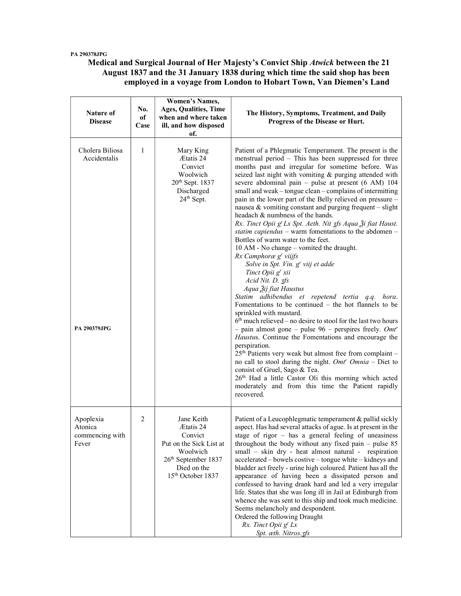#### PA 290378JPG

Medical and Surgical Journal of Her Majesty's Convict Ship Atwick between the 21 August 1837 and the 31 January 1838 during which time the said shop has been employed in a voyage from London to Hobart Town, Van Diemen's Land

| Nature of<br><b>Disease</b>                            | No.<br>оf<br>Case | <b>Women's Names,</b><br><b>Ages, Qualities, Time</b><br>when and where taken<br>ill, and how disposed<br>of.                                                | The History, Symptoms, Treatment, and Daily<br>Progress of the Disease or Hurt.                                                                                                                                                                                                                                                                                                                                                                                                                                                                                                                                                                                                                                                                                                                                                                                                                                                                                                                                                                                                                                                                                                                                                                                                                                                                                                                                                                                                                                                                              |
|--------------------------------------------------------|-------------------|--------------------------------------------------------------------------------------------------------------------------------------------------------------|--------------------------------------------------------------------------------------------------------------------------------------------------------------------------------------------------------------------------------------------------------------------------------------------------------------------------------------------------------------------------------------------------------------------------------------------------------------------------------------------------------------------------------------------------------------------------------------------------------------------------------------------------------------------------------------------------------------------------------------------------------------------------------------------------------------------------------------------------------------------------------------------------------------------------------------------------------------------------------------------------------------------------------------------------------------------------------------------------------------------------------------------------------------------------------------------------------------------------------------------------------------------------------------------------------------------------------------------------------------------------------------------------------------------------------------------------------------------------------------------------------------------------------------------------------------|
| Cholera Biliosa<br>Accidentalis<br><b>PA 290379JPG</b> | $\mathbf{1}$      | Mary King<br>Ætatis 24<br>Convict<br>Woolwich<br>$20th$ Sept. 1837<br>Discharged<br>$24th$ Sept.                                                             | Patient of a Phlegmatic Temperament. The present is the<br>menstrual period - This has been suppressed for three<br>months past and irregular for sometime before. Was<br>seized last night with vomiting & purging attended with<br>severe abdominal pain - pulse at present (6 AM) 104<br>small and weak - tongue clean - complains of intermitting<br>pain in the lower part of the Belly relieved on pressure -<br>nausea & vomiting constant and purging frequent $-$ slight<br>headach & numbness of the hands.<br>Rx. Tinct Opii g <sup>t</sup> Lx Spt. Aeth. Nit 3fs Aqua $\tilde{\chi}$ i fiat Haust.<br>statim capiendus – warm fomentations to the abdomen –<br>Bottles of warm water to the feet.<br>10 AM - No change - vomited the draught.<br>Rx Camphoræ g' viijfs<br>Solve in Spt. Vin. g' viij et adde<br>Tinct Opii g' xii<br>Acid Nit. D. 3fs<br>Aqua Žij fiat Haustus<br>Statim adhibendus et repetend tertia q.q. hora.<br>Fomentations to be continued $-$ the hot flannels to be<br>sprinkled with mustard.<br>$6th$ much relieved – no desire to stool for the last two hours<br>- pain almost gone - pulse $96$ - perspires freely. Omt <sup>r</sup><br>Haustus. Continue the Fomentations and encourage the<br>perspiration.<br>25 <sup>th</sup> Patients very weak but almost free from complaint -<br>no call to stool during the night. $Omt^r$ $Omnia$ - Diet to<br>consist of Gruel, Sago & Tea.<br>26th Had a little Castor Oli this morning which acted<br>moderately and from this time the Patient rapidly<br>recovered. |
| Apoplexia<br>Atonica<br>commencing with<br>Fever       | 2                 | Jane Keith<br>Ætatis 24<br>Convict<br>Put on the Sick List at<br>Woolwich<br>26 <sup>th</sup> September 1837<br>Died on the<br>15 <sup>th</sup> October 1837 | Patient of a Leucophlegmatic temperament & pallid sickly<br>aspect. Has had several attacks of ague. Is at present in the<br>stage of rigor $-$ has a general feeling of uneasiness<br>throughout the body without any fixed pain $-$ pulse 85<br>small – skin dry - heat almost natural - respiration<br>accelerated – bowels costive – tongue white – kidneys and<br>bladder act freely - urine high coloured. Patient has all the<br>appearance of having been a dissipated person and<br>confessed to having drank hard and led a very irregular<br>life. States that she was long ill in Jail at Edinburgh from<br>whence she was sent to this ship and took much medicine.<br>Seems melancholy and despondent.<br>Ordered the following Draught<br>Rx. Tinct Opii g <sup>t</sup> Lx<br>Spt. æth. Nitros.3fs                                                                                                                                                                                                                                                                                                                                                                                                                                                                                                                                                                                                                                                                                                                                            |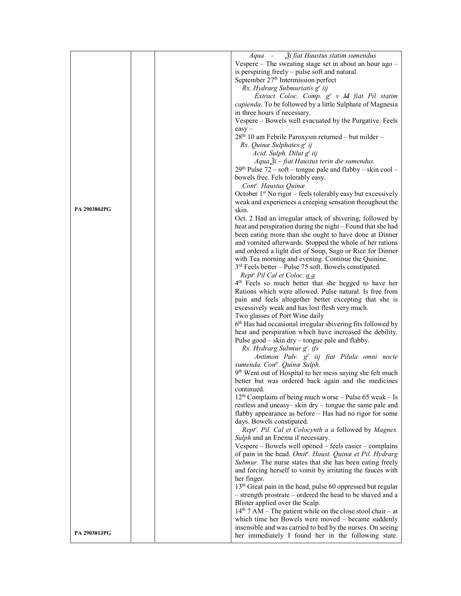|                     |  | Aqua - Ži fiat Haustus statim sumendus                                                                                |
|---------------------|--|-----------------------------------------------------------------------------------------------------------------------|
|                     |  | Vespere - The sweating stage set in about an hour ago -                                                               |
|                     |  | is perspiring freely – pulse soft and natural.                                                                        |
|                     |  | September 27 <sup>th</sup> Intermission perfect                                                                       |
|                     |  | Rx. Hydrarg Submuriatis g' iij                                                                                        |
|                     |  | Extract Coloc. Comp. g' v M fiat Pil statim                                                                           |
|                     |  | capienda. To be followed by a little Sulphate of Magnesia                                                             |
|                     |  | in three hours if necessary.                                                                                          |
|                     |  | Vespere - Bowels well evacuated by the Purgative. Feels                                                               |
|                     |  | $easy -$                                                                                                              |
|                     |  | $28th$ 10 am Febrile Paroxysm returned – but milder –                                                                 |
|                     |  | Rx. Quinæ Sulphates g' ij                                                                                             |
|                     |  | Acid. Sulph. Dilut g <sup>t</sup> iij                                                                                 |
|                     |  | Aqua $\tilde{A}$ i – fiat Haustus terin die sumendus.                                                                 |
|                     |  | $29th$ Pulse 72 – soft – tongue pale and flabby – skin cool –                                                         |
|                     |  | bowels free. Fels tolerably easy.                                                                                     |
|                     |  | Cont <sup>r</sup> . Haustus Quinæ                                                                                     |
|                     |  | October 1 <sup>st</sup> No rigor – feels tolerably easy but excessively                                               |
|                     |  | weak and experiences a creeping sensation throughout the                                                              |
| <b>PA 290380JPG</b> |  | skin.                                                                                                                 |
|                     |  | Oct. 2 Had an irregular attack of shivering, followed by                                                              |
|                     |  | heat and perspiration during the night - Found that she had                                                           |
|                     |  | been eating more than she ought to have done at Dinner                                                                |
|                     |  | and vomited afterwards. Stopped the whole of her rations<br>and ordered a light diet of Soup, Sago or Rice for Dinner |
|                     |  | with Tea morning and evening. Continue the Quinine.                                                                   |
|                     |  | $3rd$ Feels better – Pulse 75 soft. Bowels constipated.                                                               |
|                     |  | Rept <sup>r</sup> Pil Cal et Coloc. a a                                                                               |
|                     |  | 4 <sup>th</sup> Feels so much better that she begged to have her                                                      |
|                     |  | Rations which were allowed. Pulse natural. Is free from                                                               |
|                     |  | pain and feels altogether better excepting that she is                                                                |
|                     |  | excessively weak and has lost flesh very much.                                                                        |
|                     |  | Two glasses of Port Wine daily                                                                                        |
|                     |  | 6th Has had occasional irregular shivering fits followed by                                                           |
|                     |  | heat and perspiration which have increased the debility.                                                              |
|                     |  | Pulse good - skin dry - tongue pale and flabby.                                                                       |
|                     |  | Rx. Hydrarg Submur g'. ifs                                                                                            |
|                     |  | Antimon Pulv. g <sup>r</sup> iij fiat Pilula omni nocte                                                               |
|                     |  | sumenda. Con <sup>tr</sup> . Quinæ Sulph.                                                                             |
|                     |  | 9 <sup>th</sup> Went out of Hospital to her mess saying she felt much                                                 |
|                     |  | better but was ordered back again and the medicines                                                                   |
|                     |  | continued.                                                                                                            |
|                     |  | $12th$ Complains of being much worse – Pulse 65 weak – Is                                                             |
|                     |  | restless and uneasy-skin dry - tongue the same pale and                                                               |
|                     |  | flabby appearance as before – Has had no rigor for some                                                               |
|                     |  | days. Bowels constipated.                                                                                             |
|                     |  | Rept'. Pil. Cal et Colocynth a a followed by Magnes.                                                                  |
|                     |  | Sulph and an Enema if necessary.                                                                                      |
|                     |  | Vespere – Bowels well opened – feels easier – complains                                                               |
|                     |  | of pain in the head. Omit''. Haust. Quinæ et Pil. Hydrarg                                                             |
|                     |  | Submur. The nurse states that she has been eating freely                                                              |
|                     |  | and forcing herself to vomit by irritating the fauces with                                                            |
|                     |  | her finger.                                                                                                           |
|                     |  | 13 <sup>th</sup> Great pain in the head, pulse 60 oppressed but regular                                               |
|                     |  | - strength prostrate - ordered the head to be shaved and a                                                            |
|                     |  | Blister applied over the Scalp.                                                                                       |
|                     |  | $14th$ 7 AM – The patient while on the close stool chair – at                                                         |
|                     |  | which time her Bowels were moved - became suddenly                                                                    |
| <b>PA 290381JPG</b> |  | insensible and was carried to bed by the nurses. On seeing                                                            |
|                     |  | her immediately I found her in the following state.                                                                   |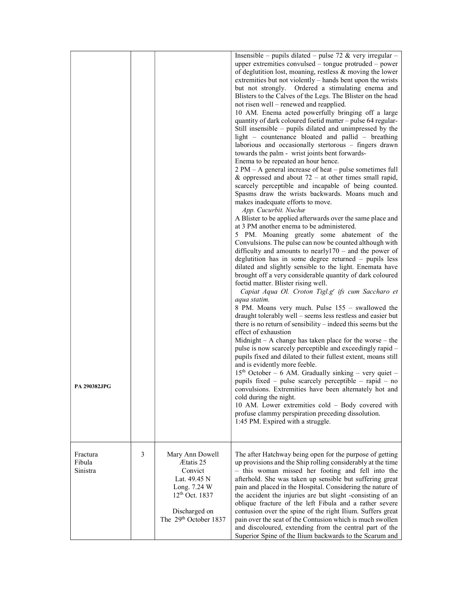| <b>PA 290382.IPG</b>           |   |                                                                                                                                                 | Insensible – pupils dilated – pulse 72 & very irregular –<br>upper extremities convulsed – tongue protruded – power<br>of deglutition lost, moaning, restless & moving the lower<br>extremities but not violently – hands bent upon the wrists<br>Ordered a stimulating enema and<br>but not strongly.<br>Blisters to the Calves of the Legs. The Blister on the head<br>not risen well - renewed and reapplied.<br>10 AM. Enema acted powerfully bringing off a large<br>quantity of dark coloured foetid matter - pulse 64 regular-<br>Still insensible – pupils dilated and unimpressed by the<br>light – countenance bloated and pallid – breathing<br>laborious and occasionally stertorous - fingers drawn<br>towards the palm - wrist joints bent forwards-<br>Enema to be repeated an hour hence.<br>$2 PM - A general increase of heat - pulse sometimes full$<br>& oppressed and about $72 -$ at other times small rapid,<br>scarcely perceptible and incapable of being counted.<br>Spasms draw the wrists backwards. Moans much and<br>makes inadequate efforts to move.<br>App. Cucurbit. Nuchæ<br>A Blister to be applied afterwards over the same place and<br>at 3 PM another enema to be administered.<br>5 PM. Moaning greatly some abatement of the<br>Convulsions. The pulse can now be counted although with<br>difficulty and amounts to nearly $170$ – and the power of<br>deglutition has in some degree returned - pupils less<br>dilated and slightly sensible to the light. Enemata have<br>brought off a very considerable quantity of dark coloured<br>foetid matter. Blister rising well.<br>Capiat Aqua Ol. Croton Tigl.g' ifs cum Saccharo et<br>aqua statim.<br>8 PM. Moans very much. Pulse 155 – swallowed the<br>draught tolerably well – seems less restless and easier but<br>there is no return of sensibility $-$ indeed this seems but the<br>effect of exhaustion<br>Midnight $- A$ change has taken place for the worse $-$ the<br>pulse is now scarcely perceptible and exceedingly rapid -<br>pupils fixed and dilated to their fullest extent, moans still<br>and is evidently more feeble.<br>15th October - 6 AM. Gradually sinking - very quiet -<br>pupils fixed – pulse scarcely perceptible – rapid – no<br>convulsions. Extremities have been alternately hot and<br>cold during the night.<br>10 AM. Lower extremities cold - Body covered with<br>profuse clammy perspiration preceding dissolution.<br>1:45 PM. Expired with a struggle. |
|--------------------------------|---|-------------------------------------------------------------------------------------------------------------------------------------------------|--------------------------------------------------------------------------------------------------------------------------------------------------------------------------------------------------------------------------------------------------------------------------------------------------------------------------------------------------------------------------------------------------------------------------------------------------------------------------------------------------------------------------------------------------------------------------------------------------------------------------------------------------------------------------------------------------------------------------------------------------------------------------------------------------------------------------------------------------------------------------------------------------------------------------------------------------------------------------------------------------------------------------------------------------------------------------------------------------------------------------------------------------------------------------------------------------------------------------------------------------------------------------------------------------------------------------------------------------------------------------------------------------------------------------------------------------------------------------------------------------------------------------------------------------------------------------------------------------------------------------------------------------------------------------------------------------------------------------------------------------------------------------------------------------------------------------------------------------------------------------------------------------------------------------------------------------------------------------------------------------------------------------------------------------------------------------------------------------------------------------------------------------------------------------------------------------------------------------------------------------------------------------------------------------------------------------------------------------------------------------------------------------------------------------------------------------------------------------------------------------|
| Fractura<br>Fibula<br>Sinistra | 3 | Mary Ann Dowell<br>Ætatis 25<br>Convict<br>Lat. 49.45 N<br>Long. 7.24 W<br>12 <sup>th</sup> Oct. 1837<br>Discharged on<br>The 29th October 1837 | The after Hatchway being open for the purpose of getting<br>up provisions and the Ship rolling considerably at the time<br>- this woman missed her footing and fell into the<br>afterhold. She was taken up sensible but suffering great<br>pain and placed in the Hospital. Considering the nature of<br>the accident the injuries are but slight -consisting of an<br>oblique fracture of the left Fibula and a rather severe<br>contusion over the spine of the right Ilium. Suffers great<br>pain over the seat of the Contusion which is much swollen<br>and discoloured, extending from the central part of the<br>Superior Spine of the Ilium backwards to the Scarum and                                                                                                                                                                                                                                                                                                                                                                                                                                                                                                                                                                                                                                                                                                                                                                                                                                                                                                                                                                                                                                                                                                                                                                                                                                                                                                                                                                                                                                                                                                                                                                                                                                                                                                                                                                                                                 |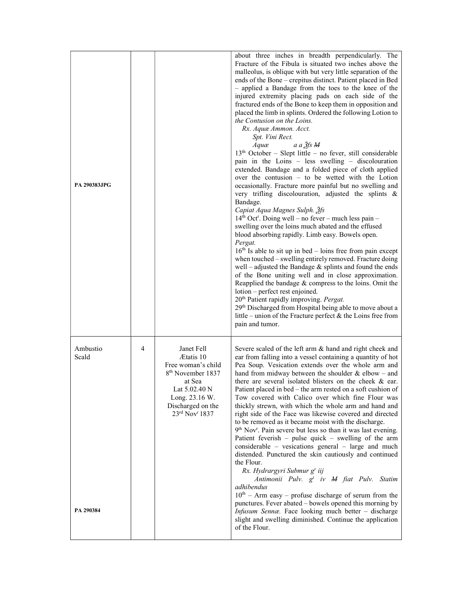| <b>PA 290383JPG</b>            |   |                                                                                                                                                                                  | about three inches in breadth perpendicularly. The<br>Fracture of the Fibula is situated two inches above the<br>malleolus, is oblique with but very little separation of the<br>ends of the Bone - crepitus distinct. Patient placed in Bed<br>- applied a Bandage from the toes to the knee of the<br>injured extremity placing pads on each side of the<br>fractured ends of the Bone to keep them in opposition and<br>placed the limb in splints. Ordered the following Lotion to<br>the Contusion on the Loins.<br>Rx. Aquæ Ammon. Acct.<br>Spt. Vini Rect.<br>a a $3$ fs M<br>Aquæ<br>$13th$ October – Slept little – no fever, still considerable<br>pain in the Loins - less swelling - discolouration<br>extended. Bandage and a folded piece of cloth applied<br>over the contusion - to be wetted with the Lotion<br>occasionally. Fracture more painful but no swelling and<br>very trifling discolouration, adjusted the splints &<br>Bandage.<br>Capiat Aqua Magnes Sulph. 3fs<br>14 <sup>th</sup> Oct <sup>r</sup> . Doing well – no fever – much less pain –<br>swelling over the loins much abated and the effused<br>blood absorbing rapidly. Limb easy. Bowels open.<br>Pergat.<br>$16th$ Is able to sit up in bed – loins free from pain except<br>when touched - swelling entirely removed. Fracture doing<br>well - adjusted the Bandage $\&$ splints and found the ends<br>of the Bone uniting well and in close approximation.<br>Reapplied the bandage & compress to the loins. Omit the<br>lotion – perfect rest enjoined.<br>20 <sup>th</sup> Patient rapidly improving. Pergat.<br>29th Discharged from Hospital being able to move about a<br>little – union of the Fracture perfect $\&$ the Loins free from<br>pain and tumor. |
|--------------------------------|---|----------------------------------------------------------------------------------------------------------------------------------------------------------------------------------|----------------------------------------------------------------------------------------------------------------------------------------------------------------------------------------------------------------------------------------------------------------------------------------------------------------------------------------------------------------------------------------------------------------------------------------------------------------------------------------------------------------------------------------------------------------------------------------------------------------------------------------------------------------------------------------------------------------------------------------------------------------------------------------------------------------------------------------------------------------------------------------------------------------------------------------------------------------------------------------------------------------------------------------------------------------------------------------------------------------------------------------------------------------------------------------------------------------------------------------------------------------------------------------------------------------------------------------------------------------------------------------------------------------------------------------------------------------------------------------------------------------------------------------------------------------------------------------------------------------------------------------------------------------------------------------------------------------------------------------------------------------|
| Ambustio<br>Scald<br>PA 290384 | 4 | Janet Fell<br>Ætatis 10<br>Free woman's child<br>8 <sup>th</sup> November 1837<br>at Sea<br>Lat 5.02.40 N<br>Long. 23.16 W.<br>Discharged on the<br>$23rd$ Nov <sup>r</sup> 1837 | Severe scaled of the left arm & hand and right cheek and<br>ear from falling into a vessel containing a quantity of hot<br>Pea Soup. Vesication extends over the whole arm and<br>hand from midway between the shoulder $&$ elbow – and<br>there are several isolated blisters on the cheek & ear.<br>Patient placed in bed – the arm rested on a soft cushion of<br>Tow covered with Calico over which fine Flour was<br>thickly strewn, with which the whole arm and hand and<br>right side of the Face was likewise covered and directed<br>to be removed as it became moist with the discharge.<br>9 <sup>th</sup> Nov <sup>r</sup> . Pain severe but less so than it was last evening.<br>Patient feverish – pulse quick – swelling of the arm<br>considerable – vesications general – large and much<br>distended. Punctured the skin cautiously and continued<br>the Flour.<br>Rx. Hydrargyri Submur g' iij<br>Antimonii Pulv. g <sup>t</sup> iv M fiat Pulv. Statim<br>adhibendus<br>$10th$ – Arm easy – profuse discharge of serum from the<br>punctures. Fever abated – bowels opened this morning by<br>Infusum Sennæ. Face looking much better - discharge<br>slight and swelling diminished. Continue the application<br>of the Flour.                                                                                                                                                                                                                                                                                                                                                                                                                                                                                                            |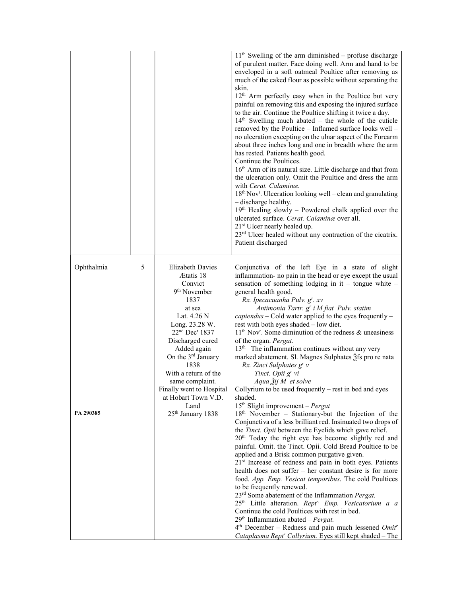|            |   |                                                                                                                                                                                                                                                                                                                                                   | $11th$ Swelling of the arm diminished – profuse discharge<br>of purulent matter. Face doing well. Arm and hand to be<br>enveloped in a soft oatmeal Poultice after removing as<br>much of the caked flour as possible without separating the<br>skin.<br>12 <sup>th</sup> Arm perfectly easy when in the Poultice but very<br>painful on removing this and exposing the injured surface<br>to the air. Continue the Poultice shifting it twice a day.<br>$14th$ Swelling much abated – the whole of the cuticle<br>removed by the Poultice - Inflamed surface looks well -<br>no ulceration excepting on the ulnar aspect of the Forearm<br>about three inches long and one in breadth where the arm<br>has rested. Patients health good.<br>Continue the Poultices.<br>16 <sup>th</sup> Arm of its natural size. Little discharge and that from<br>the ulceration only. Omit the Poultice and dress the arm<br>with Cerat. Calaminæ.<br>18th Nov <sup>r</sup> . Ulceration looking well - clean and granulating<br>- discharge healthy.<br>19th Healing slowly - Powdered chalk applied over the<br>ulcerated surface. Cerat. Calaminae over all.<br>21 <sup>st</sup> Ulcer nearly healed up.<br>23 <sup>rd</sup> Ulcer healed without any contraction of the cicatrix.<br>Patient discharged |
|------------|---|---------------------------------------------------------------------------------------------------------------------------------------------------------------------------------------------------------------------------------------------------------------------------------------------------------------------------------------------------|------------------------------------------------------------------------------------------------------------------------------------------------------------------------------------------------------------------------------------------------------------------------------------------------------------------------------------------------------------------------------------------------------------------------------------------------------------------------------------------------------------------------------------------------------------------------------------------------------------------------------------------------------------------------------------------------------------------------------------------------------------------------------------------------------------------------------------------------------------------------------------------------------------------------------------------------------------------------------------------------------------------------------------------------------------------------------------------------------------------------------------------------------------------------------------------------------------------------------------------------------------------------------------------------|
| Ophthalmia | 5 | <b>Elizabeth Davies</b><br>Ætatis 18<br>Convict<br>9 <sup>th</sup> November<br>1837<br>at sea<br>Lat. 4.26 N<br>Long. 23.28 W.<br>$22nd$ Dec <sup>r</sup> 1837<br>Discharged cured<br>Added again<br>On the 3 <sup>rd</sup> January<br>1838<br>With a return of the<br>same complaint.<br>Finally went to Hospital<br>at Hobart Town V.D.<br>Land | Conjunctiva of the left Eye in a state of slight<br>inflammation- no pain in the head or eye except the usual<br>sensation of something lodging in it - tongue white -<br>general health good.<br>Rx. Ipecacuanha Pulv. g <sup>r</sup> . xv<br>Antimonia Tartr. g' i M fiat Pulv. statim<br>$capiendus$ – Cold water applied to the eyes frequently –<br>rest with both eyes shaded - low diet.<br>11 <sup>th</sup> Nov <sup>r</sup> . Some diminution of the redness & uneasiness<br>of the organ. Pergat.<br>13 <sup>th</sup> The inflammation continues without any very<br>marked abatement. Sl. Magnes Sulphates 2fs pro re nata<br>Rx. Zinci Sulphates g' v<br>Tinct. Opii g' vi<br>Aqua Žij M et solve<br>Collyrium to be used frequently - rest in bed and eyes<br>shaded.<br>$15th$ Slight improvement – Pergat                                                                                                                                                                                                                                                                                                                                                                                                                                                                       |
| PA 290385  |   | 25 <sup>th</sup> January 1838                                                                                                                                                                                                                                                                                                                     | 18 <sup>th</sup> November – Stationary-but the Injection of the<br>Conjunctiva of a less brilliant red. Insinuated two drops of<br>the Tinct. Opii between the Eyelids which gave relief.<br>20 <sup>th</sup> Today the right eye has become slightly red and<br>painful. Omit. the Tinct. Opii. Cold Bread Poultice to be<br>applied and a Brisk common purgative given.<br>21 <sup>st</sup> Increase of redness and pain in both eyes. Patients<br>health does not suffer – her constant desire is for more<br>food. App. Emp. Vesicat temporibus. The cold Poultices<br>to be frequently renewed.<br>23 <sup>rd</sup> Some abatement of the Inflammation Pergat.<br>25 <sup>th</sup> Little alteration. Rept <sup>r.</sup> Emp. Vesicatorium a a<br>Continue the cold Poultices with rest in bed.<br>$29th Inflammation abated – Pergat.$<br>$4th$ December – Redness and pain much lessened <i>Omit<sup>r</sup></i><br>Cataplasma Rept' Collyrium. Eyes still kept shaded - The                                                                                                                                                                                                                                                                                                            |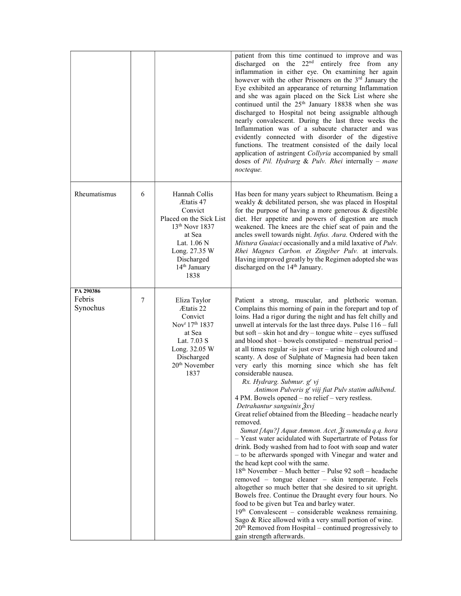|                                 |   |                                                                                                                                                                                  | patient from this time continued to improve and was<br>discharged on the 22 <sup>nd</sup> entirely free from any<br>inflammation in either eye. On examining her again<br>however with the other Prisoners on the 3 <sup>rd</sup> January the<br>Eye exhibited an appearance of returning Inflammation<br>and she was again placed on the Sick List where she<br>continued until the 25 <sup>th</sup> January 18838 when she was<br>discharged to Hospital not being assignable although<br>nearly convalescent. During the last three weeks the<br>Inflammation was of a subacute character and was<br>evidently connected with disorder of the digestive<br>functions. The treatment consisted of the daily local<br>application of astringent Collyria accompanied by small<br>doses of Pil. Hydrarg & Pulv. Rhei internally - mane<br>nocteque.                                                                                                                                                                                                                                                                                                                                                                                                                                                                                                                                                                                                                                                                                                                                                                                                  |
|---------------------------------|---|----------------------------------------------------------------------------------------------------------------------------------------------------------------------------------|------------------------------------------------------------------------------------------------------------------------------------------------------------------------------------------------------------------------------------------------------------------------------------------------------------------------------------------------------------------------------------------------------------------------------------------------------------------------------------------------------------------------------------------------------------------------------------------------------------------------------------------------------------------------------------------------------------------------------------------------------------------------------------------------------------------------------------------------------------------------------------------------------------------------------------------------------------------------------------------------------------------------------------------------------------------------------------------------------------------------------------------------------------------------------------------------------------------------------------------------------------------------------------------------------------------------------------------------------------------------------------------------------------------------------------------------------------------------------------------------------------------------------------------------------------------------------------------------------------------------------------------------------|
| Rheumatismus                    | 6 | Hannah Collis<br>Ætatis 47<br>Convict<br>Placed on the Sick List<br>$13th$ Novr 1837<br>at Sea<br>Lat. 1.06 N<br>Long. 27.35 W<br>Discharged<br>14 <sup>th</sup> January<br>1838 | Has been for many years subject to Rheumatism. Being a<br>weakly & debilitated person, she was placed in Hospital<br>for the purpose of having a more generous $\&$ digestible<br>diet. Her appetite and powers of digestion are much<br>weakened. The knees are the chief seat of pain and the<br>ancles swell towards night. Infus. Aura. Ordered with the<br>Mistura Guaiaci occasionally and a mild laxative of Pulv.<br>Rhei Magnes Carbon. et Zingiber Pulv. at intervals.<br>Having improved greatly by the Regimen adopted she was<br>discharged on the 14 <sup>th</sup> January.                                                                                                                                                                                                                                                                                                                                                                                                                                                                                                                                                                                                                                                                                                                                                                                                                                                                                                                                                                                                                                                            |
| PA 290386<br>Febris<br>Synochus | 7 | Eliza Taylor<br>Ætatis 22<br>Convict<br>Nov <sup>r</sup> 17 <sup>th</sup> 1837<br>at Sea<br>Lat. 7.03 S<br>Long. 32.05 W<br>Discharged<br>20 <sup>th</sup> November<br>1837      | Patient a strong, muscular, and plethoric woman.<br>Complains this morning of pain in the forepart and top of<br>loins. Had a rigor during the night and has felt chilly and<br>unwell at intervals for the last three days. Pulse $116 - full$<br>but soft - skin hot and dry - tongue white - eyes suffused<br>and blood shot - bowels constipated - menstrual period -<br>at all times regular -is just over - urine high coloured and<br>scanty. A dose of Sulphate of Magnesia had been taken<br>very early this morning since which she has felt<br>considerable nausea.<br>Rx. Hydrarg. Submur. g' vj<br>Antimon Pulveris g' viij fiat Pulv statim adhibend.<br>4 PM. Bowels opened – no relief – very restless.<br>Detrahantur sanguinis $\frac{\partial x}{\partial y}$<br>Great relief obtained from the Bleeding - headache nearly<br>removed.<br>Sumat [Aqu?] Aquæ Ammon. Acet. Ѯi sumenda q.q. hora<br>- Yeast water acidulated with Supertartrate of Potass for<br>drink. Body washed from had to foot with soap and water<br>- to be afterwards sponged with Vinegar and water and<br>the head kept cool with the same.<br>18 <sup>th</sup> November – Much better – Pulse 92 soft – headache<br>removed - tongue cleaner - skin temperate. Feels<br>altogether so much better that she desired to sit upright.<br>Bowels free. Continue the Draught every four hours. No<br>food to be given but Tea and barley water.<br>$19th$ Convalescent – considerable weakness remaining.<br>Sago & Rice allowed with a very small portion of wine.<br>$20th$ Removed from Hospital – continued progressively to<br>gain strength afterwards. |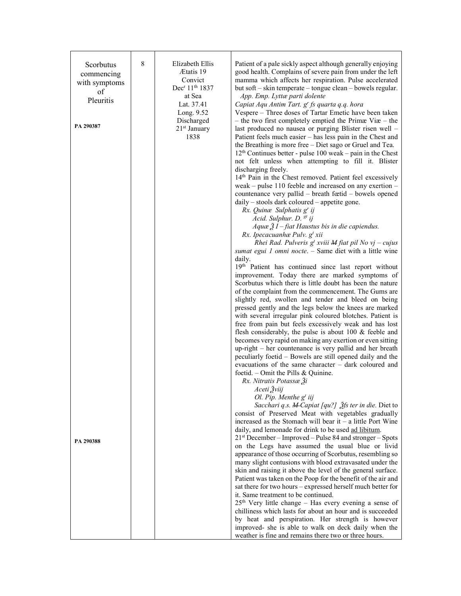| Scorbutus<br>commencing<br>with symptoms<br>of<br>Pleuritis<br>PA 290387 | 8 | Elizabeth Ellis<br>Ætatis 19<br>Convict<br>Dec <sup>r</sup> 11 <sup>th</sup> 1837<br>at Sea<br>Lat. 37.41<br>Long. 9.52<br>Discharged<br>21 <sup>st</sup> January<br>1838 | Patient of a pale sickly aspect although generally enjoying<br>good health. Complains of severe pain from under the left<br>mamma which affects her respiration. Pulse accelerated<br>but soft – skin temperate – tongue clean – bowels regular.<br>App. Emp. Lyttæ parti dolente<br>Capiat Aqu Antim Tart. g' fs quarta q.q. hora<br>Vespere - Three doses of Tartar Emetic have been taken<br>- the two first completely emptied the Primae Via $-$ the<br>last produced no nausea or purging Blister risen well -<br>Patient feels much easier - has less pain in the Chest and<br>the Breathing is more free - Diet sago or Gruel and Tea.<br>$12th$ Continues better - pulse 100 weak – pain in the Chest<br>not felt unless when attempting to fill it. Blister<br>discharging freely.<br>14th Pain in the Chest removed. Patient feel excessively<br>weak – pulse 110 feeble and increased on any exertion –<br>countenance very pallid - breath fœtid - bowels opened<br>$daily - stocks$ dark coloured $-$ appetite gone.<br>Rx. Quinæ Sulphatis g' ij<br>Acid. Sulphur. D. st ij<br>Aquæ $\tilde{Z}I$ – fiat Haustus bis in die capiendus.<br>Rx. Ipecacuanhae Pulv. g <sup>t</sup> xii<br>Rhei Rad. Pulveris $g^t$ xviii M fiat pil No vj – cujus<br>sumat egui 1 omni nocte. - Same diet with a little wine<br>daily.<br>19th Patient has continued since last report without<br>improvement. Today there are marked symptoms of<br>Scorbutus which there is little doubt has been the nature<br>of the complaint from the commencement. The Gums are<br>slightly red, swollen and tender and bleed on being<br>pressed gently and the legs below the knees are marked<br>with several irregular pink coloured blotches. Patient is<br>free from pain but feels excessively weak and has lost<br>flesh considerably, the pulse is about $100 \&$ feeble and<br>becomes very rapid on making any exertion or even sitting<br>up-right – her countenance is very pallid and her breath<br>peculiarly foetid – Bowels are still opened daily and the<br>evacuations of the same character – dark coloured and<br>foetid. – Omit the Pills & Quinine.<br>Rx. Nitratis Potassæ 3i<br>Aceti Žviij<br>Ol. Pip. Menthe $gt$ iij<br>Sacchari q.s. M-Capiat [qu?] 3fs ter in die. Diet to<br>consist of Preserved Meat with vegetables gradually<br>increased as the Stomach will bear it $-$ a little Port Wine |
|--------------------------------------------------------------------------|---|---------------------------------------------------------------------------------------------------------------------------------------------------------------------------|--------------------------------------------------------------------------------------------------------------------------------------------------------------------------------------------------------------------------------------------------------------------------------------------------------------------------------------------------------------------------------------------------------------------------------------------------------------------------------------------------------------------------------------------------------------------------------------------------------------------------------------------------------------------------------------------------------------------------------------------------------------------------------------------------------------------------------------------------------------------------------------------------------------------------------------------------------------------------------------------------------------------------------------------------------------------------------------------------------------------------------------------------------------------------------------------------------------------------------------------------------------------------------------------------------------------------------------------------------------------------------------------------------------------------------------------------------------------------------------------------------------------------------------------------------------------------------------------------------------------------------------------------------------------------------------------------------------------------------------------------------------------------------------------------------------------------------------------------------------------------------------------------------------------------------------------------------------------------------------------------------------------------------------------------------------------------------------------------------------------------------------------------------------------------------------------------------------------------------------------------------------------------------------------------------------------------------------------------------------------------------------------------------------------|
| PA 290388                                                                |   |                                                                                                                                                                           | daily, and lemonade for drink to be used ad libitum.<br>$21st$ December – Improved – Pulse 84 and stronger – Spots<br>on the Legs have assumed the usual blue or livid<br>appearance of those occurring of Scorbutus, resembling so<br>many slight contusions with blood extravasated under the<br>skin and raising it above the level of the general surface.<br>Patient was taken on the Poop for the benefit of the air and<br>sat there for two hours - expressed herself much better for<br>it. Same treatment to be continued.<br>$25th$ Very little change – Has every evening a sense of<br>chilliness which lasts for about an hour and is succeeded<br>by heat and perspiration. Her strength is however<br>improved- she is able to walk on deck daily when the<br>weather is fine and remains there two or three hours.                                                                                                                                                                                                                                                                                                                                                                                                                                                                                                                                                                                                                                                                                                                                                                                                                                                                                                                                                                                                                                                                                                                                                                                                                                                                                                                                                                                                                                                                                                                                                                                |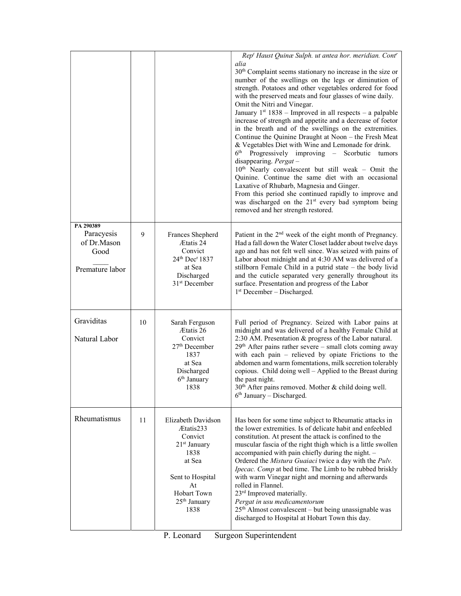|                                                                   |    |                                                                                                                                                                    | Rep <sup>t</sup> Haust Quinæ Sulph. ut antea hor. meridian. Cont'<br>alia<br>30 <sup>th</sup> Complaint seems stationary no increase in the size or<br>number of the swellings on the legs or diminution of<br>strength. Potatoes and other vegetables ordered for food<br>with the preserved meats and four glasses of wine daily.<br>Omit the Nitri and Vinegar.<br>January $1^{st}$ 1838 – Improved in all respects – a palpable<br>increase of strength and appetite and a decrease of foetor<br>in the breath and of the swellings on the extremities.<br>Continue the Quinine Draught at Noon - the Fresh Meat<br>& Vegetables Diet with Wine and Lemonade for drink.<br>6 <sup>th</sup><br>Progressively improving – Scorbutic tumors<br>disappearing. $Pergat -$<br>$10th$ Nearly convalescent but still weak - Omit the<br>Quinine. Continue the same diet with an occasional<br>Laxative of Rhubarb, Magnesia and Ginger.<br>From this period she continued rapidly to improve and<br>was discharged on the 21 <sup>st</sup> every bad symptom being<br>removed and her strength restored. |
|-------------------------------------------------------------------|----|--------------------------------------------------------------------------------------------------------------------------------------------------------------------|------------------------------------------------------------------------------------------------------------------------------------------------------------------------------------------------------------------------------------------------------------------------------------------------------------------------------------------------------------------------------------------------------------------------------------------------------------------------------------------------------------------------------------------------------------------------------------------------------------------------------------------------------------------------------------------------------------------------------------------------------------------------------------------------------------------------------------------------------------------------------------------------------------------------------------------------------------------------------------------------------------------------------------------------------------------------------------------------------|
| PA 290389<br>Paracyesis<br>of Dr.Mason<br>Good<br>Premature labor | 9  | Frances Shepherd<br>Ætatis 24<br>Convict<br>24th Dec <sup>r</sup> 1837<br>at Sea<br>Discharged<br>31 <sup>st</sup> December                                        | Patient in the 2 <sup>nd</sup> week of the eight month of Pregnancy.<br>Had a fall down the Water Closet ladder about twelve days<br>ago and has not felt well since. Was seized with pains of<br>Labor about midnight and at 4:30 AM was delivered of a<br>stillborn Female Child in a putrid state – the body livid<br>and the cuticle separated very generally throughout its<br>surface. Presentation and progress of the Labor<br>1 <sup>st</sup> December – Discharged.                                                                                                                                                                                                                                                                                                                                                                                                                                                                                                                                                                                                                        |
| Graviditas<br>Natural Labor                                       | 10 | Sarah Ferguson<br>Ætatis 26<br>Convict<br>$27th$ December<br>1837<br>at Sea<br>Discharged<br>$6th$ January<br>1838                                                 | Full period of Pregnancy. Seized with Labor pains at<br>midnight and was delivered of a healthy Female Child at<br>2:30 AM. Presentation & progress of the Labor natural.<br>$29th$ After pains rather severe – small clots coming away<br>with each pain $-$ relieved by opiate Frictions to the<br>abdomen and warm fomentations, milk secretion tolerably<br>copious. Child doing well - Applied to the Breast during<br>the past night.<br>30 <sup>th</sup> After pains removed. Mother & child doing well.<br>$6th$ January – Discharged.                                                                                                                                                                                                                                                                                                                                                                                                                                                                                                                                                       |
| Rheumatismus                                                      | 11 | Elizabeth Davidson<br>Ætatis233<br>Convict<br>21 <sup>st</sup> January<br>1838<br>at Sea<br>Sent to Hospital<br>At<br><b>Hobart Town</b><br>$25th$ January<br>1838 | Has been for some time subject to Rheumatic attacks in<br>the lower extremities. Is of delicate habit and enfeebled<br>constitution. At present the attack is confined to the<br>muscular fascia of the right thigh which is a little swollen<br>accompanied with pain chiefly during the night. -<br>Ordered the Mistura Guaiaci twice a day with the Pulv.<br>Ipecac. Comp at bed time. The Limb to be rubbed briskly<br>with warm Vinegar night and morning and afterwards<br>rolled in Flannel.<br>23 <sup>rd</sup> Improved materially.<br>Pergat in usu medicamentorum<br>25 <sup>th</sup> Almost convalescent - but being unassignable was<br>discharged to Hospital at Hobart Town this day.                                                                                                                                                                                                                                                                                                                                                                                                 |

P. Leonard Surgeon Superintendent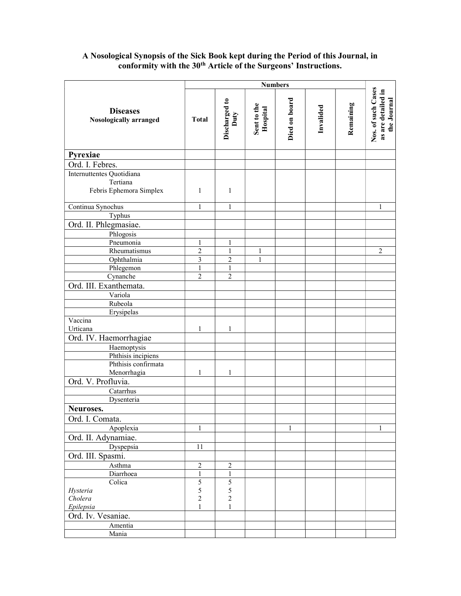#### **Diseases** Nosologically arranged Numbers<br>
Discharged to<br>
Duty<br>
Duty<br>
Hospital<br>
Died on board<br>
Died on board<br>
Invalided<br>
Invalided<br>
Remaining<br>
Remaining<br>
Remaining<br>
Nos. of such Cases<br>
as are detailed in Pyrexiae Ord. I. Febres. Internuttentes Quotidiana Tertiana Febris Ephemora Simplex  $\begin{vmatrix} 1 & 1 \end{vmatrix}$  1 Continua Synochus 1 1 1 Typhus Ord. II. Phlegmasiae. Phlogosis Pneumonia 1 1 1 Rheumatismus 2 1 1 2 Ophthalmia 3 3 2 1 Phlegemon 1 1 1 Cynanche  $\begin{array}{|c|c|c|c|c|c|c|c|} \hline \text{C} & \text{2} & \text{2} \\ \hline \end{array}$ Ord. III. Exanthemata. Variola Rubeola Erysipelas Vaccina Urticana  $\begin{array}{|c|c|c|c|c|c|c|c|} \hline 1 & 1 & 1 \\ \hline \end{array}$ Ord. IV. Haemorrhagiae Haemoptysis Phthisis incipiens Phthisis confirmata Menorrhagia 1 1 1 Ord. V. Profluvia. Catarrhus Dysenteria Neuroses. Ord. I. Comata. Apoplexia 1 1 1 1 1 1 1 1 Ord. II. Adynamiae. Dyspepsia 11 Ord. III. Spasmi. Asthma 2 2 2 Diarrhoea 1 1 1 Colica Hysteria Cholera Epilepsia 5 5 2 1 5 5 2 1 Ord. Iv. Vesaniae. Amentia Mania

# A Nosological Synopsis of the Sick Book kept during the Period of this Journal, in conformity with the 30<sup>th</sup> Article of the Surgeons' Instructions.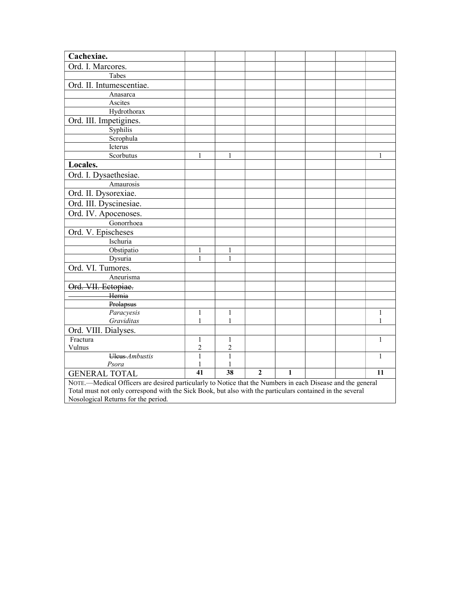| Cachexiae.                                                                                                 |                 |                 |                |              |  |  |              |
|------------------------------------------------------------------------------------------------------------|-----------------|-----------------|----------------|--------------|--|--|--------------|
| Ord. I. Marcores.                                                                                          |                 |                 |                |              |  |  |              |
| Tabes                                                                                                      |                 |                 |                |              |  |  |              |
| Ord. II. Intumescentiae.                                                                                   |                 |                 |                |              |  |  |              |
| Anasarca                                                                                                   |                 |                 |                |              |  |  |              |
| Ascites                                                                                                    |                 |                 |                |              |  |  |              |
| Hydrothorax                                                                                                |                 |                 |                |              |  |  |              |
| Ord. III. Impetigines.                                                                                     |                 |                 |                |              |  |  |              |
| Syphilis                                                                                                   |                 |                 |                |              |  |  |              |
| Scrophula                                                                                                  |                 |                 |                |              |  |  |              |
| Icterus                                                                                                    |                 |                 |                |              |  |  |              |
| Scorbutus                                                                                                  | 1               | 1               |                |              |  |  | 1            |
| Locales.                                                                                                   |                 |                 |                |              |  |  |              |
| Ord. I. Dysaethesiae.                                                                                      |                 |                 |                |              |  |  |              |
| Amaurosis                                                                                                  |                 |                 |                |              |  |  |              |
| Ord. II. Dysorexiae.                                                                                       |                 |                 |                |              |  |  |              |
| Ord. III. Dyscinesiae.                                                                                     |                 |                 |                |              |  |  |              |
| Ord. IV. Apocenoses.                                                                                       |                 |                 |                |              |  |  |              |
| Gonorrhoea                                                                                                 |                 |                 |                |              |  |  |              |
| Ord. V. Epischeses                                                                                         |                 |                 |                |              |  |  |              |
| Ischuria                                                                                                   |                 |                 |                |              |  |  |              |
| Obstipatio                                                                                                 | 1               | 1               |                |              |  |  |              |
| Dysuria                                                                                                    | 1               | 1               |                |              |  |  |              |
| Ord. VI. Tumores.                                                                                          |                 |                 |                |              |  |  |              |
| Aneurisma                                                                                                  |                 |                 |                |              |  |  |              |
| Ord. VII. Ectopiae.                                                                                        |                 |                 |                |              |  |  |              |
| Hernia                                                                                                     |                 |                 |                |              |  |  |              |
| Prolapsus                                                                                                  |                 |                 |                |              |  |  |              |
| Paracyesis                                                                                                 | 1               | 1               |                |              |  |  | 1            |
| Graviditas                                                                                                 | 1               | 1               |                |              |  |  | 1            |
| Ord. VIII. Dialyses.                                                                                       |                 |                 |                |              |  |  |              |
| Fractura                                                                                                   | 1               | 1               |                |              |  |  | $\mathbf{1}$ |
| Vulnus                                                                                                     | $\overline{2}$  | 2               |                |              |  |  |              |
| Uleus Ambustis                                                                                             | $\mathbf{1}$    | $\mathbf{1}$    |                |              |  |  | 1            |
| Psora                                                                                                      | $\mathbf{1}$    | 1               |                |              |  |  |              |
| <b>GENERAL TOTAL</b>                                                                                       | $\overline{41}$ | $\overline{38}$ | $\overline{2}$ | $\mathbf{1}$ |  |  | 11           |
| NOTE.—Medical Officers are desired particularly to Notice that the Numbers in each Disease and the general |                 |                 |                |              |  |  |              |
| Total must not only correspond with the Sick Book, but also with the particulars contained in the several  |                 |                 |                |              |  |  |              |
| Nosological Returns for the period.                                                                        |                 |                 |                |              |  |  |              |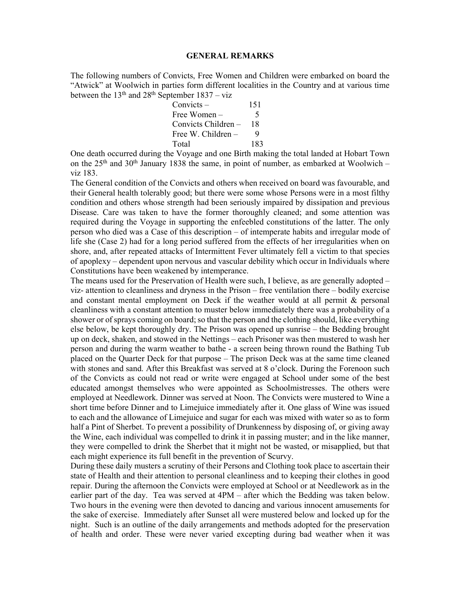### GENERAL REMARKS

The following numbers of Convicts, Free Women and Children were embarked on board the "Atwick" at Woolwich in parties form different localities in the Country and at various time between the  $13<sup>th</sup>$  and  $28<sup>th</sup>$  September  $1837 - viz$ 

| $Convicts -$         | 151 |
|----------------------|-----|
| Free Women $-$       | 5   |
| Convicts Children –  | 18  |
| Free W. Children $-$ | Q   |
| Total                | 183 |

One death occurred during the Voyage and one Birth making the total landed at Hobart Town on the  $25<sup>th</sup>$  and  $30<sup>th</sup>$  January 1838 the same, in point of number, as embarked at Woolwich – viz 183.

The General condition of the Convicts and others when received on board was favourable, and their General health tolerably good; but there were some whose Persons were in a most filthy condition and others whose strength had been seriously impaired by dissipation and previous Disease. Care was taken to have the former thoroughly cleaned; and some attention was required during the Voyage in supporting the enfeebled constitutions of the latter. The only person who died was a Case of this description – of intemperate habits and irregular mode of life she (Case 2) had for a long period suffered from the effects of her irregularities when on shore, and, after repeated attacks of Intermittent Fever ultimately fell a victim to that species of apoplexy – dependent upon nervous and vascular debility which occur in Individuals where Constitutions have been weakened by intemperance.

The means used for the Preservation of Health were such, I believe, as are generally adopted – viz- attention to cleanliness and dryness in the Prison – free ventilation there – bodily exercise and constant mental employment on Deck if the weather would at all permit & personal cleanliness with a constant attention to muster below immediately there was a probability of a shower or of sprays coming on board; so that the person and the clothing should, like everything else below, be kept thoroughly dry. The Prison was opened up sunrise – the Bedding brought up on deck, shaken, and stowed in the Nettings – each Prisoner was then mustered to wash her person and during the warm weather to bathe - a screen being thrown round the Bathing Tub placed on the Quarter Deck for that purpose – The prison Deck was at the same time cleaned with stones and sand. After this Breakfast was served at 8 o'clock. During the Forenoon such of the Convicts as could not read or write were engaged at School under some of the best educated amongst themselves who were appointed as Schoolmistresses. The others were employed at Needlework. Dinner was served at Noon. The Convicts were mustered to Wine a short time before Dinner and to Limejuice immediately after it. One glass of Wine was issued to each and the allowance of Limejuice and sugar for each was mixed with water so as to form half a Pint of Sherbet. To prevent a possibility of Drunkenness by disposing of, or giving away the Wine, each individual was compelled to drink it in passing muster; and in the like manner, they were compelled to drink the Sherbet that it might not be wasted, or misapplied, but that each might experience its full benefit in the prevention of Scurvy.

During these daily musters a scrutiny of their Persons and Clothing took place to ascertain their state of Health and their attention to personal cleanliness and to keeping their clothes in good repair. During the afternoon the Convicts were employed at School or at Needlework as in the earlier part of the day. Tea was served at 4PM – after which the Bedding was taken below. Two hours in the evening were then devoted to dancing and various innocent amusements for the sake of exercise. Immediately after Sunset all were mustered below and locked up for the night. Such is an outline of the daily arrangements and methods adopted for the preservation of health and order. These were never varied excepting during bad weather when it was